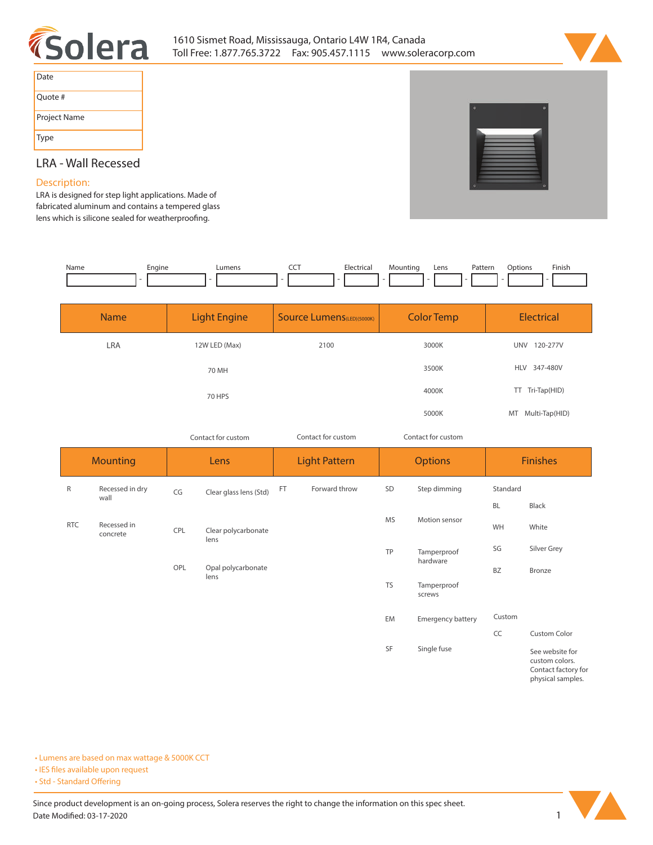



| Date         |
|--------------|
| Quote #      |
| Project Name |
| Type         |

## **LRA - Wall Recessed**

## **Description:**

**LRA is designed for step light applications. Made of fabricated aluminum and contains a tempered glass**  lens which is silicone sealed for weatherproofing.

| Name | Enaine | umens | Electrica | Mountinc<br>. . | Lens | Pattern<br>. | )ptions | Finish |
|------|--------|-------|-----------|-----------------|------|--------------|---------|--------|
|      |        |       |           |                 |      |              |         |        |

| <b>Name</b> | <b>Light Engine</b> | <b>Source Lumens (LED)(5000K)</b> | <b>Color Temp</b> | <b>Electrical</b>      |
|-------------|---------------------|-----------------------------------|-------------------|------------------------|
| <b>LRA</b>  | 12W LED (Max)       | 2100                              | 3000K             | 120-277V<br><b>UNV</b> |
|             | 70 MH               |                                   | 3500K             | HLV 347-480V           |
|             | 70 HPS              |                                   | 4000K             | TT Tri-Tap(HID)        |
|             |                     |                                   | 5000K             | Multi-Tap(HID)<br>MT   |

*Contact for custom*

*Contact for custom Contact for custom*

| <b>Mounting</b> |                         | Lens |                             | <b>Light Pattern</b> |               | <b>Options</b> |                          | <b>Finishes</b> |                                                                               |
|-----------------|-------------------------|------|-----------------------------|----------------------|---------------|----------------|--------------------------|-----------------|-------------------------------------------------------------------------------|
| R               | Recessed in dry<br>wall | CG   | Clear glass lens (Std)      | <b>FT</b>            | Forward throw | SD             | Step dimming             | Standard        |                                                                               |
|                 |                         |      |                             |                      |               |                | BL                       | Black           |                                                                               |
| <b>RTC</b>      | Recessed in<br>concrete | CPL  | Clear polycarbonate<br>lens |                      |               | <b>MS</b>      | Motion sensor            | WH              | White                                                                         |
|                 |                         |      |                             |                      |               | TP             | Tamperproof<br>hardware  | SG              | Silver Grey                                                                   |
|                 |                         | OPL  | Opal polycarbonate<br>lens  |                      |               |                |                          | <b>BZ</b>       | Bronze                                                                        |
|                 |                         |      |                             |                      |               | <b>TS</b>      | Tamperproof<br>screws    |                 |                                                                               |
|                 |                         |      |                             |                      |               | EM             | <b>Emergency battery</b> | Custom          |                                                                               |
|                 |                         |      |                             |                      |               |                |                          | CC              | Custom Color                                                                  |
|                 |                         |      |                             |                      |               | SF             | Single fuse              |                 | See website for<br>custom colors.<br>Contact factory for<br>physical samples. |

**• Lumens are based on max wattage & 5000K CCT**

**• IES files available upon request** 

• Std - Standard Offering

Since product development is an on-going process, Solera reserves the right to change the information on this spec sheet. **Date Modified: 03-17-2020** 1